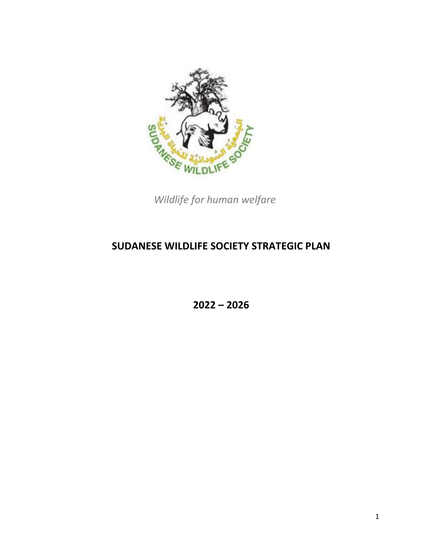

*Wildlife for human welfare*

# **SUDANESE WILDLIFE SOCIETY STRATEGIC PLAN**

**2022 – 2026**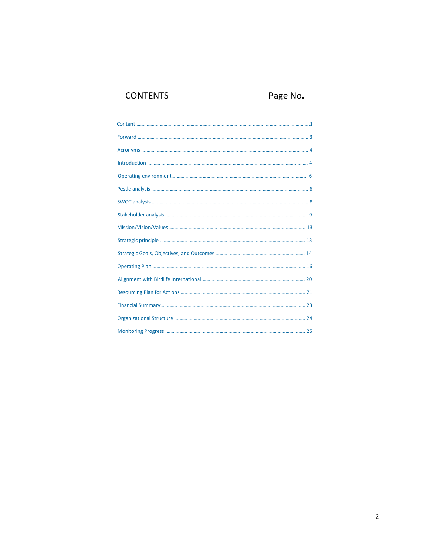## CONTENTS Page No**.**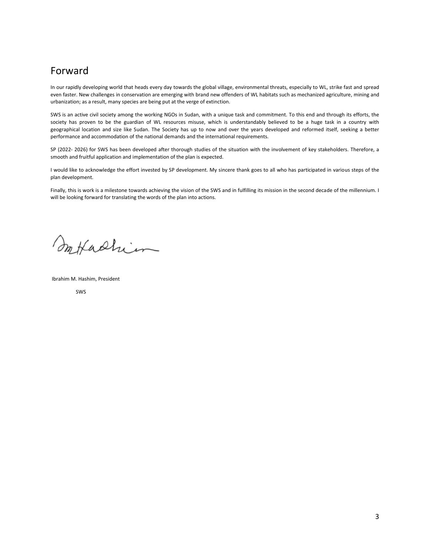### Forward

In our rapidly developing world that heads every day towards the global village, environmental threats, especially to WL, strike fast and spread even faster. New challenges in conservation are emerging with brand new offenders of WL habitats such as mechanized agriculture, mining and urbanization; as a result, many species are being put at the verge of extinction.

SWS is an active civil society among the working NGOs in Sudan, with a unique task and commitment. To this end and through its efforts, the society has proven to be the guardian of WL resources misuse, which is understandably believed to be a huge task in a country with geographical location and size like Sudan. The Society has up to now and over the years developed and reformed itself, seeking a better performance and accommodation of the national demands and the international requirements.

SP (2022- 2026) for SWS has been developed after thorough studies of the situation with the involvement of key stakeholders. Therefore, a smooth and fruitful application and implementation of the plan is expected.

I would like to acknowledge the effort invested by SP development. My sincere thank goes to all who has participated in various steps of the plan development.

Finally, this is work is a milestone towards achieving the vision of the SWS and in fulfilling its mission in the second decade of the millennium. I will be looking forward for translating the words of the plan into actions.

mtachim

Ibrahim M. Hashim, President

SWS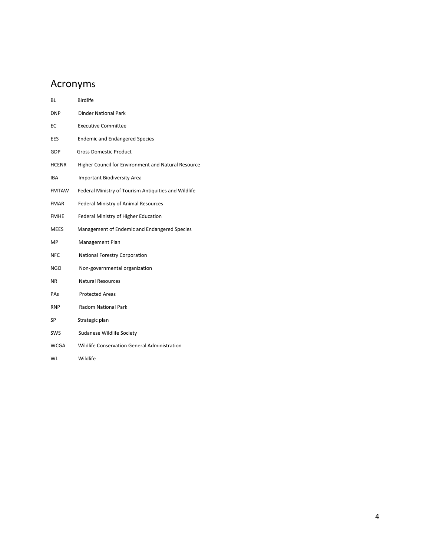## Acronyms

| <b>BL</b>    | <b>Birdlife</b>                                      |
|--------------|------------------------------------------------------|
| DNP          | <b>Dinder National Park</b>                          |
| ЕC           | <b>Executive Committee</b>                           |
| <b>EES</b>   | <b>Endemic and Endangered Species</b>                |
| GDP          | <b>Gross Domestic Product</b>                        |
| <b>HCENR</b> | Higher Council for Environment and Natural Resource  |
| <b>IBA</b>   | <b>Important Biodiversity Area</b>                   |
| <b>FMTAW</b> | Federal Ministry of Tourism Antiquities and Wildlife |
| <b>FMAR</b>  | <b>Federal Ministry of Animal Resources</b>          |
| <b>FMHE</b>  | Federal Ministry of Higher Education                 |
| MEES         | Management of Endemic and Endangered Species         |
| ΜP           | Management Plan                                      |
| NFC          | National Forestry Corporation                        |
| NGO          | Non-governmental organization                        |
| NR.          | <b>Natural Resources</b>                             |
| PAs          | <b>Protected Areas</b>                               |
| <b>RNP</b>   | <b>Radom National Park</b>                           |
| <b>SP</b>    | Strategic plan                                       |
| <b>SWS</b>   | Sudanese Wildlife Society                            |
| WCGA         | Wildlife Conservation General Administration         |
| WL           | Wildlife                                             |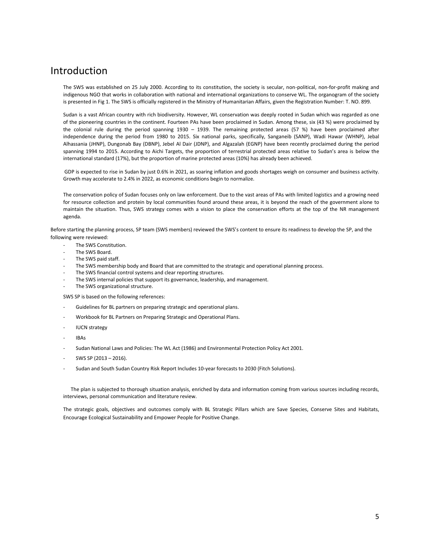#### Introduction

The SWS was established on 25 July 2000. According to its constitution, the society is secular, non-political, non-for-profit making and indigenous NGO that works in collaboration with national and international organizations to conserve WL. The organogram of the society is presented in Fig 1. The SWS is officially registered in the Ministry of Humanitarian Affairs, given the Registration Number: T. NO. 899.

Sudan is a vast African country with rich biodiversity. However, WL conservation was deeply rooted in Sudan which was regarded as one of the pioneering countries in the continent. Fourteen PAs have been proclaimed in Sudan. Among these, six (43 %) were proclaimed by the colonial rule during the period spanning 1930 – 1939. The remaining protected areas (57 %) have been proclaimed after independence during the period from 1980 to 2015. Six national parks, specifically, Sanganeib (SANP), Wadi Hawar (WHNP), Jebal Alhassania (JHNP), Dungonab Bay (DBNP), Jebel Al Dair (JDNP), and Algazalah (EGNP) have been recently proclaimed during the period spanning 1994 to 2015. According to Aichi Targets, the proportion of terrestrial protected areas relative to Sudan's area is below the international standard (17%), but the proportion of marine protected areas (10%) has already been achieved.

GDP is expected to rise in Sudan by just 0.6% in 2021, as soaring inflation and goods shortages weigh on consumer and business activity. Growth may accelerate to 2.4% in 2022, as economic conditions begin to normalize.

The conservation policy of Sudan focuses only on law enforcement. Due to the vast areas of PAs with limited logistics and a growing need for resource collection and protein by local communities found around these areas, it is beyond the reach of the government alone to maintain the situation. Thus, SWS strategy comes with a vision to place the conservation efforts at the top of the NR management agenda.

Before starting the planning process, SP team (SWS members) reviewed the SWS's content to ensure its readiness to develop the SP, and the following were reviewed:

- The SWS Constitution.
- The SWS Board.
- The SWS paid staff.
- The SWS membership body and Board that are committed to the strategic and operational planning process.
- The SWS financial control systems and clear reporting structures.
- The SWS internal policies that support its governance, leadership, and management.
- The SWS organizational structure.

SWS SP is based on the following references:

- Guidelines for BL partners on preparing strategic and operational plans.
- Workbook for BL Partners on Preparing Strategic and Operational Plans.
- **IUCN** strategy
- IBAs
- Sudan National Laws and Policies: The WL Act (1986) and Environmental Protection Policy Act 2001.
- SWS SP (2013 2016).
- Sudan and South Sudan Country Risk Report Includes 10-year forecasts to 2030 (Fitch Solutions).

 The plan is subjected to thorough situation analysis, enriched by data and information coming from various sources including records, interviews, personal communication and literature review.

The strategic goals, objectives and outcomes comply with BL Strategic Pillars which are Save Species, Conserve Sites and Habitats, Encourage Ecological Sustainability and Empower People for Positive Change.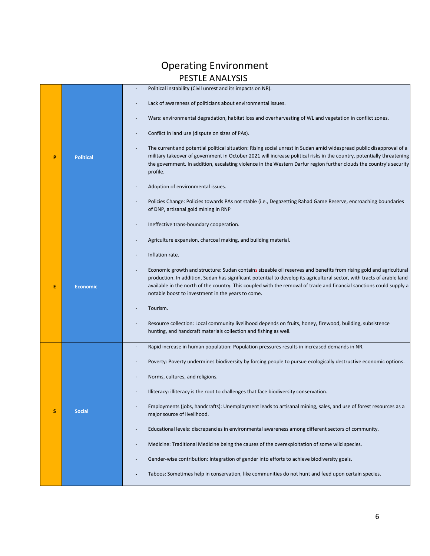### Operating Environment PESTLE ANALYSIS

|   |                  | Political instability (Civil unrest and its impacts on NR).                                                                                                                                                                                                                                                                                                                                                      |
|---|------------------|------------------------------------------------------------------------------------------------------------------------------------------------------------------------------------------------------------------------------------------------------------------------------------------------------------------------------------------------------------------------------------------------------------------|
|   |                  | Lack of awareness of politicians about environmental issues.                                                                                                                                                                                                                                                                                                                                                     |
|   |                  | Wars: environmental degradation, habitat loss and overharvesting of WL and vegetation in conflict zones.                                                                                                                                                                                                                                                                                                         |
|   |                  | Conflict in land use (dispute on sizes of PAs).<br>$\overline{\phantom{a}}$                                                                                                                                                                                                                                                                                                                                      |
| P | <b>Political</b> | The current and potential political situation: Rising social unrest in Sudan amid widespread public disapproval of a<br>$\qquad \qquad \blacksquare$<br>military takeover of government in October 2021 will increase political risks in the country, potentially threatening<br>the government. In addition, escalating violence in the Western Darfur region further clouds the country's security<br>profile. |
|   |                  | Adoption of environmental issues.                                                                                                                                                                                                                                                                                                                                                                                |
|   |                  | Policies Change: Policies towards PAs not stable (i.e., Degazetting Rahad Game Reserve, encroaching boundaries<br>of DNP, artisanal gold mining in RNP                                                                                                                                                                                                                                                           |
|   |                  | Ineffective trans-boundary cooperation.<br>-                                                                                                                                                                                                                                                                                                                                                                     |
|   |                  | Agriculture expansion, charcoal making, and building material.<br>$\overline{\phantom{a}}$                                                                                                                                                                                                                                                                                                                       |
|   |                  | Inflation rate.                                                                                                                                                                                                                                                                                                                                                                                                  |
| Е | <b>Economic</b>  | Economic growth and structure: Sudan contains sizeable oil reserves and benefits from rising gold and agricultural<br>production. In addition, Sudan has significant potential to develop its agricultural sector, with tracts of arable land                                                                                                                                                                    |
|   |                  | available in the north of the country. This coupled with the removal of trade and financial sanctions could supply a<br>notable boost to investment in the years to come.                                                                                                                                                                                                                                        |
|   |                  | Tourism.                                                                                                                                                                                                                                                                                                                                                                                                         |
|   |                  | Resource collection: Local community livelihood depends on fruits, honey, firewood, building, subsistence<br>$\overline{\phantom{a}}$<br>hunting, and handcraft materials collection and fishing as well.                                                                                                                                                                                                        |
|   |                  | Rapid increase in human population: Population pressures results in increased demands in NR.                                                                                                                                                                                                                                                                                                                     |
|   |                  | Poverty: Poverty undermines biodiversity by forcing people to pursue ecologically destructive economic options.                                                                                                                                                                                                                                                                                                  |
|   |                  | Norms, cultures, and religions.                                                                                                                                                                                                                                                                                                                                                                                  |
|   |                  | Illiteracy: illiteracy is the root to challenges that face biodiversity conservation.                                                                                                                                                                                                                                                                                                                            |
| S | <b>Social</b>    | Employments (jobs, handcrafts): Unemployment leads to artisanal mining, sales, and use of forest resources as a<br>major source of livelihood.                                                                                                                                                                                                                                                                   |
|   |                  | Educational levels: discrepancies in environmental awareness among different sectors of community.                                                                                                                                                                                                                                                                                                               |
|   |                  | Medicine: Traditional Medicine being the causes of the overexploitation of some wild species.                                                                                                                                                                                                                                                                                                                    |
|   |                  | Gender-wise contribution: Integration of gender into efforts to achieve biodiversity goals.                                                                                                                                                                                                                                                                                                                      |
|   |                  | Taboos: Sometimes help in conservation, like communities do not hunt and feed upon certain species.                                                                                                                                                                                                                                                                                                              |
|   |                  |                                                                                                                                                                                                                                                                                                                                                                                                                  |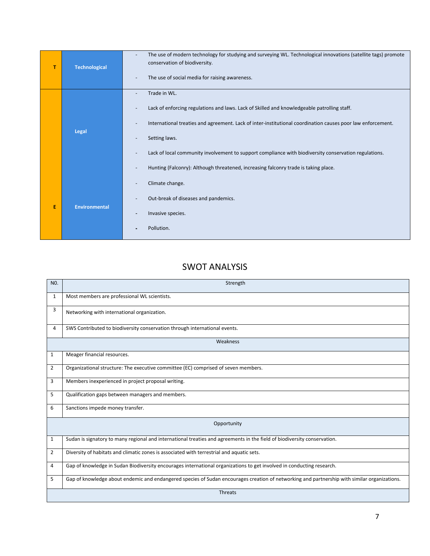|   | <b>Technological</b> | The use of modern technology for studying and surveying WL. Technological innovations (satellite tags) promote<br>conservation of biodiversity.<br>The use of social media for raising awareness.                                                                                                                                                                                                                                           |
|---|----------------------|---------------------------------------------------------------------------------------------------------------------------------------------------------------------------------------------------------------------------------------------------------------------------------------------------------------------------------------------------------------------------------------------------------------------------------------------|
|   | Legal                | Trade in WL.<br>Lack of enforcing regulations and laws. Lack of Skilled and knowledgeable patrolling staff.<br>International treaties and agreement. Lack of inter-institutional coordination causes poor law enforcement.<br>Setting laws.<br>Lack of local community involvement to support compliance with biodiversity conservation regulations.<br>Hunting (Falconry): Although threatened, increasing falconry trade is taking place. |
| E | <b>Environmental</b> | Climate change.<br>Out-break of diseases and pandemics.<br>Invasive species.<br>Pollution.                                                                                                                                                                                                                                                                                                                                                  |

#### SWOT ANALYSIS

| N <sub>0</sub> | Strength                                                                                                                                     |
|----------------|----------------------------------------------------------------------------------------------------------------------------------------------|
| $\mathbf{1}$   | Most members are professional WL scientists.                                                                                                 |
| 3              | Networking with international organization.                                                                                                  |
| 4              | SWS Contributed to biodiversity conservation through international events.                                                                   |
|                | Weakness                                                                                                                                     |
| 1              | Meager financial resources.                                                                                                                  |
| $\overline{2}$ | Organizational structure: The executive committee (EC) comprised of seven members.                                                           |
| 3              | Members inexperienced in project proposal writing.                                                                                           |
| 5              | Qualification gaps between managers and members.                                                                                             |
| 6              | Sanctions impede money transfer.                                                                                                             |
|                | Opportunity                                                                                                                                  |
| 1              | Sudan is signatory to many regional and international treaties and agreements in the field of biodiversity conservation.                     |
| $\overline{2}$ | Diversity of habitats and climatic zones is associated with terrestrial and aquatic sets.                                                    |
| 4              | Gap of knowledge in Sudan Biodiversity encourages international organizations to get involved in conducting research.                        |
| 5              | Gap of knowledge about endemic and endangered species of Sudan encourages creation of networking and partnership with similar organizations. |
|                | <b>Threats</b>                                                                                                                               |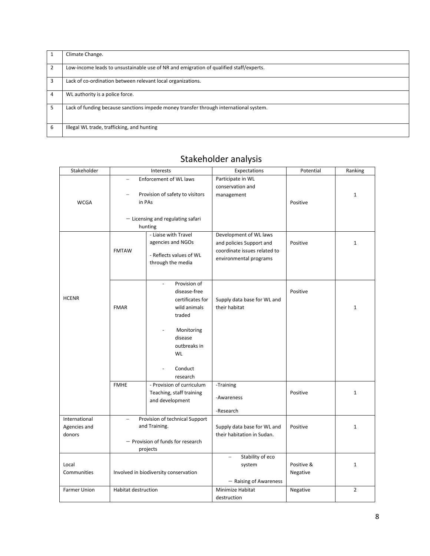|   | Climate Change.                                                                        |
|---|----------------------------------------------------------------------------------------|
|   | Low-income leads to unsustainable use of NR and emigration of qualified staff/experts. |
| 3 | Lack of co-ordination between relevant local organizations.                            |
| 4 | WL authority is a police force.                                                        |
|   | Lack of funding because sanctions impede money transfer through international system.  |
| 6 | Illegal WL trade, trafficking, and hunting                                             |

# Stakeholder analysis

| Stakeholder         | Interests                  |                                              | Expectations                 | Potential  | Ranking        |
|---------------------|----------------------------|----------------------------------------------|------------------------------|------------|----------------|
|                     |                            | Enforcement of WL laws                       | Participate in WL            |            |                |
|                     |                            |                                              | conservation and             |            |                |
|                     |                            | Provision of safety to visitors              | management                   |            | $\mathbf 1$    |
| <b>WCGA</b>         |                            | in PAs                                       |                              | Positive   |                |
|                     |                            |                                              |                              |            |                |
|                     |                            | $-$ Licensing and regulating safari          |                              |            |                |
|                     |                            | hunting                                      |                              |            |                |
|                     |                            | - Liaise with Travel                         | Development of WL laws       |            |                |
|                     |                            | agencies and NGOs                            | and policies Support and     | Positive   | $\mathbf 1$    |
|                     | <b>FMTAW</b>               |                                              | coordinate issues related to |            |                |
|                     |                            | - Reflects values of WL<br>through the media | environmental programs       |            |                |
|                     |                            |                                              |                              |            |                |
|                     |                            |                                              |                              |            |                |
|                     |                            | Provision of<br>$\overline{a}$               |                              |            |                |
|                     |                            | disease-free                                 |                              | Positive   |                |
| <b>HCENR</b>        |                            | certificates for                             | Supply data base for WL and  |            |                |
|                     | <b>FMAR</b>                | wild animals                                 | their habitat                |            | $\mathbf{1}$   |
|                     |                            | traded                                       |                              |            |                |
|                     |                            |                                              |                              |            |                |
|                     |                            | Monitoring                                   |                              |            |                |
|                     |                            | disease                                      |                              |            |                |
|                     |                            | outbreaks in                                 |                              |            |                |
|                     |                            | WL                                           |                              |            |                |
|                     |                            | Conduct                                      |                              |            |                |
|                     |                            | research                                     |                              |            |                |
|                     | <b>FMHE</b>                | - Provision of curriculum                    | -Training                    |            |                |
|                     |                            | Teaching, staff training                     |                              | Positive   | $\mathbf{1}$   |
|                     |                            | and development                              | -Awareness                   |            |                |
|                     |                            |                                              | -Research                    |            |                |
| International       | $=$                        | Provision of technical Support               |                              |            |                |
| Agencies and        |                            | and Training.                                | Supply data base for WL and  | Positive   | $\mathbf{1}$   |
| donors              |                            |                                              | their habitation in Sudan.   |            |                |
|                     |                            | - Provision of funds for research            |                              |            |                |
|                     |                            | projects                                     |                              |            |                |
|                     |                            |                                              | Stability of eco             |            |                |
| Local               |                            |                                              | system                       | Positive & | $\mathbf{1}$   |
| Communities         |                            | Involved in biodiversity conservation        |                              | Negative   |                |
|                     |                            |                                              | - Raising of Awareness       |            |                |
| <b>Farmer Union</b> | <b>Habitat destruction</b> |                                              | Minimize Habitat             | Negative   | $\overline{2}$ |
|                     |                            |                                              | destruction                  |            |                |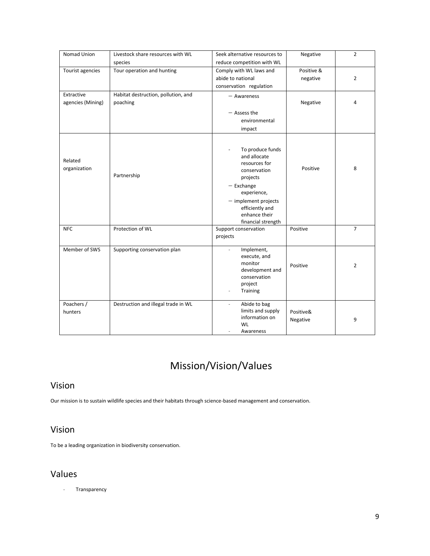| Nomad Union       | Livestock share resources with WL   | Seek alternative resources to          | Negative   | $\overline{2}$ |
|-------------------|-------------------------------------|----------------------------------------|------------|----------------|
|                   | species                             | reduce competition with WL             |            |                |
| Tourist agencies  | Tour operation and hunting          | Comply with WL laws and                | Positive & |                |
|                   |                                     | abide to national                      | negative   | $\overline{2}$ |
|                   |                                     | conservation regulation                |            |                |
| Extractive        | Habitat destruction, pollution, and | - Awareness                            |            |                |
| agencies (Mining) | poaching                            |                                        | Negative   | 4              |
|                   |                                     | - Assess the                           |            |                |
|                   |                                     | environmental                          |            |                |
|                   |                                     | impact                                 |            |                |
|                   |                                     |                                        |            |                |
|                   |                                     |                                        |            |                |
|                   |                                     | To produce funds                       |            |                |
|                   |                                     | and allocate                           |            |                |
| Related           |                                     | resources for                          |            |                |
| organization      |                                     | conservation                           | Positive   | 8              |
|                   | Partnership                         | projects                               |            |                |
|                   |                                     | $-$ Exchange                           |            |                |
|                   |                                     | experience,                            |            |                |
|                   |                                     | $-$ implement projects                 |            |                |
|                   |                                     | efficiently and                        |            |                |
|                   |                                     | enhance their                          |            |                |
|                   |                                     | financial strength                     |            |                |
| <b>NFC</b>        | Protection of WL                    | Support conservation                   | Positive   | $\overline{7}$ |
|                   |                                     | projects                               |            |                |
| Member of SWS     | Supporting conservation plan        | Implement,<br>$\overline{\phantom{a}}$ |            |                |
|                   |                                     | execute, and                           |            |                |
|                   |                                     | monitor                                |            |                |
|                   |                                     | development and                        | Positive   | 2              |
|                   |                                     | conservation                           |            |                |
|                   |                                     | project                                |            |                |
|                   |                                     | Training                               |            |                |
|                   |                                     |                                        |            |                |
| Poachers /        | Destruction and illegal trade in WL | Abide to bag<br>÷.                     |            |                |
| hunters           |                                     | limits and supply                      | Positive&  |                |
|                   |                                     | information on                         | Negative   | 9              |
|                   |                                     | WL                                     |            |                |
|                   |                                     | Awareness                              |            |                |

# Mission/Vision/Values

#### Vision

Our mission is to sustain wildlife species and their habitats through science-based management and conservation.

#### Vision

To be a leading organization in biodiversity conservation.

#### Values

- Transparency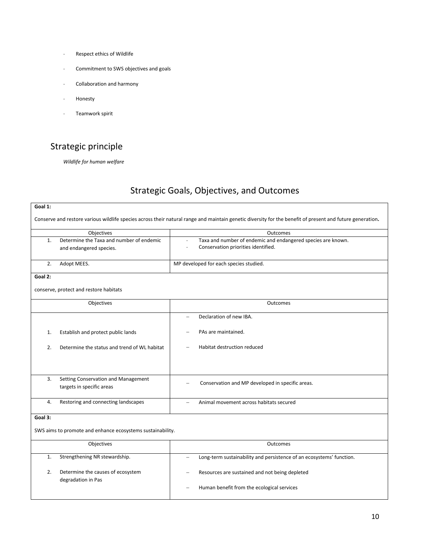- Respect ethics of Wildlife
- Commitment to SWS objectives and goals
- Collaboration and harmony
- **Honesty**
- Teamwork spirit

### Strategic principle

*Wildlife for human welfare*

### Strategic Goals, Objectives, and Outcomes

| Goal 1:                                                                                                                                                   |                                                            |                                                                        |  |  |  |  |  |  |  |
|-----------------------------------------------------------------------------------------------------------------------------------------------------------|------------------------------------------------------------|------------------------------------------------------------------------|--|--|--|--|--|--|--|
| Conserve and restore various wildlife species across their natural range and maintain genetic diversity for the benefit of present and future generation. |                                                            |                                                                        |  |  |  |  |  |  |  |
|                                                                                                                                                           | Objectives                                                 | Outcomes                                                               |  |  |  |  |  |  |  |
| 1.                                                                                                                                                        | Determine the Taxa and number of endemic                   | Taxa and number of endemic and endangered species are known.<br>$\sim$ |  |  |  |  |  |  |  |
|                                                                                                                                                           | and endangered species.                                    | Conservation priorities identified.                                    |  |  |  |  |  |  |  |
|                                                                                                                                                           |                                                            |                                                                        |  |  |  |  |  |  |  |
| 2.                                                                                                                                                        | Adopt MEES.                                                | MP developed for each species studied.                                 |  |  |  |  |  |  |  |
| Goal 2:                                                                                                                                                   |                                                            |                                                                        |  |  |  |  |  |  |  |
|                                                                                                                                                           |                                                            |                                                                        |  |  |  |  |  |  |  |
|                                                                                                                                                           | conserve, protect and restore habitats                     |                                                                        |  |  |  |  |  |  |  |
|                                                                                                                                                           | Objectives                                                 | Outcomes                                                               |  |  |  |  |  |  |  |
|                                                                                                                                                           |                                                            | Declaration of new IBA.                                                |  |  |  |  |  |  |  |
| 1.                                                                                                                                                        | Establish and protect public lands                         | PAs are maintained.                                                    |  |  |  |  |  |  |  |
|                                                                                                                                                           |                                                            |                                                                        |  |  |  |  |  |  |  |
| 2.                                                                                                                                                        | Determine the status and trend of WL habitat               | Habitat destruction reduced                                            |  |  |  |  |  |  |  |
|                                                                                                                                                           |                                                            |                                                                        |  |  |  |  |  |  |  |
|                                                                                                                                                           |                                                            |                                                                        |  |  |  |  |  |  |  |
| 3.                                                                                                                                                        | Setting Conservation and Management                        | Conservation and MP developed in specific areas.                       |  |  |  |  |  |  |  |
|                                                                                                                                                           | targets in specific areas                                  |                                                                        |  |  |  |  |  |  |  |
|                                                                                                                                                           |                                                            |                                                                        |  |  |  |  |  |  |  |
| 4.                                                                                                                                                        | Restoring and connecting landscapes                        | Animal movement across habitats secured<br>$\equiv$                    |  |  |  |  |  |  |  |
|                                                                                                                                                           |                                                            |                                                                        |  |  |  |  |  |  |  |
| Goal 3:                                                                                                                                                   |                                                            |                                                                        |  |  |  |  |  |  |  |
|                                                                                                                                                           | SWS aims to promote and enhance ecosystems sustainability. |                                                                        |  |  |  |  |  |  |  |
|                                                                                                                                                           | Objectives                                                 | Outcomes                                                               |  |  |  |  |  |  |  |
| 1.                                                                                                                                                        | Strengthening NR stewardship.                              | Long-term sustainability and persistence of an ecosystems' function.   |  |  |  |  |  |  |  |
| 2.                                                                                                                                                        | Determine the causes of ecosystem                          | Resources are sustained and not being depleted                         |  |  |  |  |  |  |  |
|                                                                                                                                                           | degradation in Pas                                         |                                                                        |  |  |  |  |  |  |  |
|                                                                                                                                                           |                                                            | Human benefit from the ecological services                             |  |  |  |  |  |  |  |
|                                                                                                                                                           |                                                            |                                                                        |  |  |  |  |  |  |  |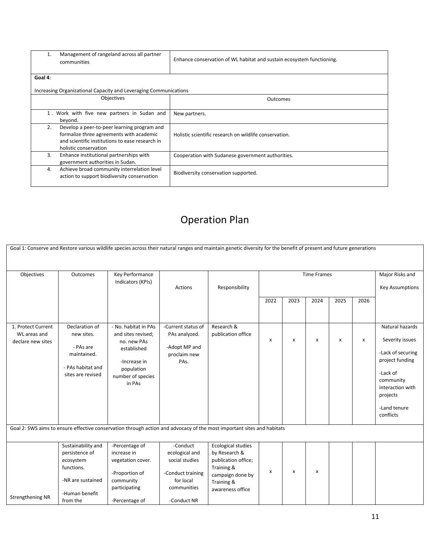|         | Management of rangeland across all partner<br>communities                                                                                                           | Enhance conservation of WL habitat and sustain ecosystem functioning. |
|---------|---------------------------------------------------------------------------------------------------------------------------------------------------------------------|-----------------------------------------------------------------------|
| Goal 4: |                                                                                                                                                                     |                                                                       |
|         | Increasing Organizational Capacity and Leveraging Communications                                                                                                    |                                                                       |
|         | <b>Objectives</b>                                                                                                                                                   | Outcomes                                                              |
|         | 1. Work with five new partners in Sudan and<br>beyond.                                                                                                              | New partners.                                                         |
| 2.      | Develop a peer-to-peer learning program and<br>formalize three agreements with academic<br>and scientific institutions to ease research in<br>holistic conservation | Holistic scientific research on wildlife conservation.                |
| 3.      | Enhance institutional partnerships with<br>government authorities in Sudan.                                                                                         | Cooperation with Sudanese government authorities.                     |
| 4.      | Achieve broad community interrelation level<br>action to support biodiversity conservation                                                                          | Biodiversity conservation supported.                                  |

# Operation Plan

|                                                         |                                                                                                                    | Goal 1: Conserve and Restore various wildlife species across their natural ranges and maintain genetic diversity for the benefit of present and future generations |                                                                                                              |                                                                                                                                       |                    |      |      |      |      |                                                                                                                                                                  |
|---------------------------------------------------------|--------------------------------------------------------------------------------------------------------------------|--------------------------------------------------------------------------------------------------------------------------------------------------------------------|--------------------------------------------------------------------------------------------------------------|---------------------------------------------------------------------------------------------------------------------------------------|--------------------|------|------|------|------|------------------------------------------------------------------------------------------------------------------------------------------------------------------|
| Objectives                                              | Outcomes                                                                                                           | Key Performance<br>Indicators (KPIs)                                                                                                                               | Actions                                                                                                      | Responsibility                                                                                                                        | <b>Time Frames</b> |      |      |      |      | Major Risks and<br><b>Key Assumptions</b>                                                                                                                        |
|                                                         |                                                                                                                    |                                                                                                                                                                    |                                                                                                              |                                                                                                                                       | 2022               | 2023 | 2024 | 2025 | 2026 |                                                                                                                                                                  |
| 1. Protect Current<br>WL areas and<br>declare new sites | Declaration of<br>new sites.<br>- PAs are<br>maintained.<br>- PAs habitat and<br>sites are revised                 | - No. habitat in PAs<br>and sites revised;<br>no. new PAs<br>established<br>-Increase in<br>population<br>number of species<br>in PAs                              | -Current status of<br>PAs analyzed.<br>-Adopt MP and<br>proclaim new<br>PAs.                                 | Research &<br>publication office                                                                                                      | $\pmb{\times}$     | X    | x    | x    | X    | Natural hazards<br>Severity issues<br>-Lack of securing<br>project funding<br>-Lack of<br>community<br>interaction with<br>projects<br>-Land tenure<br>conflicts |
|                                                         |                                                                                                                    | Goal 2: SWS aims to ensure effective conservation through action and advocacy of the most important sites and habitats                                             |                                                                                                              |                                                                                                                                       |                    |      |      |      |      |                                                                                                                                                                  |
| Strengthening NR                                        | Sustainability and<br>persistence of<br>ecosystem<br>functions.<br>-NR are sustained<br>-Human benefit<br>from the | -Percentage of<br>increase in<br>vegetation cover.<br>-Proportion of<br>community<br>participating<br>-Percentage of                                               | -Conduct<br>ecological and<br>social studies<br>-Conduct training<br>for local<br>communities<br>-Conduct NR | <b>Ecological studies</b><br>by Research &<br>publication office;<br>Training &<br>campaign done by<br>Training &<br>awareness office | x                  | x    | x    |      |      |                                                                                                                                                                  |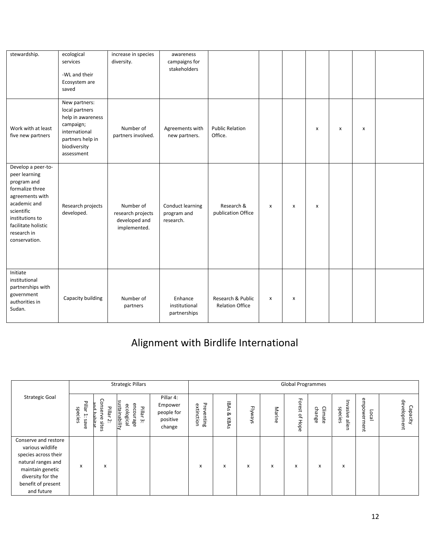| stewardship.                                                                                                                                                                                     | ecological<br>services<br>-WL and their<br>Ecosystem are<br>saved                                                                    | increase in species<br>diversity.                               | awareness<br>campaigns for<br>stakeholders   |                                             |                    |              |   |                           |   |  |
|--------------------------------------------------------------------------------------------------------------------------------------------------------------------------------------------------|--------------------------------------------------------------------------------------------------------------------------------------|-----------------------------------------------------------------|----------------------------------------------|---------------------------------------------|--------------------|--------------|---|---------------------------|---|--|
| Work with at least<br>five new partners                                                                                                                                                          | New partners:<br>local partners<br>help in awareness<br>campaign;<br>international<br>partners help in<br>biodiversity<br>assessment | Number of<br>partners involved.                                 | Agreements with<br>new partners.             | <b>Public Relation</b><br>Office.           |                    |              | x | $\boldsymbol{\mathsf{x}}$ | x |  |
| Develop a peer-to-<br>peer learning<br>program and<br>formalize three<br>agreements with<br>academic and<br>scientific<br>institutions to<br>facilitate holistic<br>research in<br>conservation. | Research projects<br>developed.                                                                                                      | Number of<br>research projects<br>developed and<br>implemented. | Conduct learning<br>program and<br>research. | Research &<br>publication Office            | $\pmb{\mathsf{x}}$ | $\pmb{\chi}$ | X |                           |   |  |
| Initiate<br>institutional<br>partnerships with<br>government<br>authorities in<br>Sudan.                                                                                                         | Capacity building                                                                                                                    | Number of<br>partners                                           | Enhance<br>institutional<br>partnerships     | Research & Public<br><b>Relation Office</b> | $\pmb{\times}$     | X            |   |                           |   |  |

# Alignment with Birdlife International

|                                                                                                                                                                     |                                |                                                     | <b>Strategic Pillars</b>                                           | <b>Global Programmes</b>                                 |                          |                         |         |        |                   |                   |                                |                      |                         |
|---------------------------------------------------------------------------------------------------------------------------------------------------------------------|--------------------------------|-----------------------------------------------------|--------------------------------------------------------------------|----------------------------------------------------------|--------------------------|-------------------------|---------|--------|-------------------|-------------------|--------------------------------|----------------------|-------------------------|
| <b>Strategic Goal</b>                                                                                                                                               | Pillar<br>species<br>H<br>save | Conserve<br>pue<br>Pillar 2:<br>ᡖ<br>intat<br>sites | susta in a bility<br>encourage<br>ecological<br>Pillar<br>$\omega$ | Pillar 4:<br>Empower<br>people for<br>positive<br>change | Preventing<br>extinction | <b>BAs</b><br>⊗<br>KBAs | Elyways | Marine | Forest<br>of Hope | change<br>Climate | Ę<br>axive<br>species<br>alien | empowerment<br>Local | development<br>Capacity |
| Conserve and restore<br>various wildlife<br>species across their<br>natural ranges and<br>maintain genetic<br>diversity for the<br>benefit of present<br>and future | x                              | x                                                   |                                                                    |                                                          | x                        | x                       | x       | x      | x                 | X                 | x                              |                      |                         |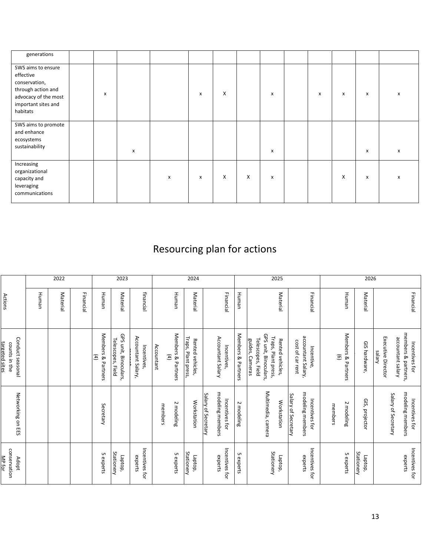| generations                                                                                                                       |   |   |   |   |   |   |   |   |   |   |   |
|-----------------------------------------------------------------------------------------------------------------------------------|---|---|---|---|---|---|---|---|---|---|---|
| SWS aims to ensure<br>effective<br>conservation,<br>through action and<br>advocacy of the most<br>important sites and<br>habitats | X |   |   | x | X |   | x | x | x | x | x |
| SWS aims to promote<br>and enhance<br>ecosystems<br>sustainability                                                                |   | X |   |   |   |   | X |   |   | X | x |
| Increasing<br>organizational<br>capacity and<br>leveraging<br>communications                                                      |   |   | x | x | X | X | x |   | X | x | x |

# Resourcing plan for actions

|                                                     |       | 2022     |           |                          | 2023                                       |                                   |            |                                     | 2024                                    |                     |                                    |                    | 2025                                                                                                     |                                                           |         |                                              | 2026                  |                                      |                                                            |
|-----------------------------------------------------|-------|----------|-----------|--------------------------|--------------------------------------------|-----------------------------------|------------|-------------------------------------|-----------------------------------------|---------------------|------------------------------------|--------------------|----------------------------------------------------------------------------------------------------------|-----------------------------------------------------------|---------|----------------------------------------------|-----------------------|--------------------------------------|------------------------------------------------------------|
| Actions                                             | Human | Material | Financial | Human                    | Material                                   | financial                         |            | Human                               | Material                                |                     | Financial                          | Human              | Material                                                                                                 | Financial                                                 |         | Human                                        | Material              |                                      | Financial                                                  |
| Conduct seasonal<br>targeted sites<br>counts in the |       |          |           | Members & Partners<br>E) | GPS unit, Binoculars,<br>Telescopes, Field | Accountant Salary,<br>Incentives, | Accountant | Members & Partners<br>$\widehat{A}$ | Traps, Plant press,<br>Rented vehicles, |                     | Accountant Salary<br>Incentives,   | Members & Partners | GPS unit, Binoculars,<br>Traps, Plant press,<br>Telescopes, Field<br>Rented vehicles,<br>guides, Cameras | accountant Salary,<br>cost of car rent<br>Incentive,      |         | Members & Partners<br>$\widehat{\mathbf{e}}$ | GIS hardware,         | Executive Director<br><b>A</b> leles | members & partners,<br>accountant salary<br>Incentives for |
| Networking on EES                                   |       |          |           | Secretary                |                                            |                                   | members    | 2 modeling                          | Workstation                             | Salary of Secretary | modeling members<br>Incentives for | N<br>modeling      | Multimedia, camera<br>Workstation                                                                        | modeling members<br>Salary of Secretary<br>Incentives for | members | 2 modeling                                   | GIS,<br>projector     | Salary of Secretary                  | modeling members<br>Incentives for                         |
| conservation<br>MP for<br>Adopt                     |       |          |           | 5 experts                | Stationery<br>Laptop,                      | Incentives for<br>experts         |            | 5 experts                           | Stationery<br>Laptop,                   |                     | Incentives for<br>experts          | UП<br>experts      | Stationery<br>Laptop,                                                                                    | Incentives for<br>experts                                 |         | 5 experts                                    | Stationery<br>Laptop, |                                      | Incentives for<br>experts                                  |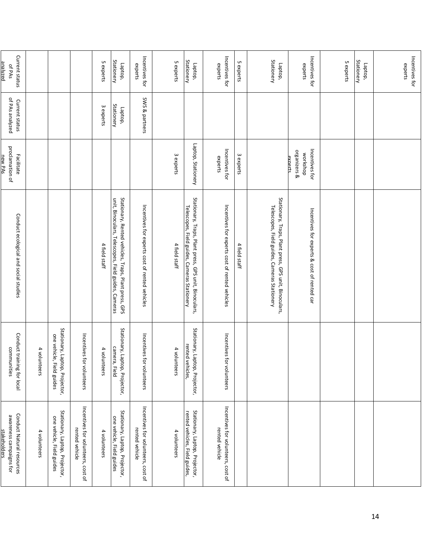| Current status<br>analyzed<br>of PAs                                 |              |                                                             |                                                      | 5 experts     | Stationery<br>Laptop,                                                                                       | Incentives for<br>experts                            | 5 experts     | Stationery<br>Laptop,                                                                                 | Incentives for<br>experts                            | 5 experts     | Stationery<br>Laptop,                                                                                 | Incentives for<br>experts                             | 5 experts | Stationery<br>Laptop, | Incentives for<br>experts |
|----------------------------------------------------------------------|--------------|-------------------------------------------------------------|------------------------------------------------------|---------------|-------------------------------------------------------------------------------------------------------------|------------------------------------------------------|---------------|-------------------------------------------------------------------------------------------------------|------------------------------------------------------|---------------|-------------------------------------------------------------------------------------------------------|-------------------------------------------------------|-----------|-----------------------|---------------------------|
| of PAs analyzed<br>Current status                                    |              |                                                             |                                                      | 3 experts     | Stationery<br>Laptop,                                                                                       | SWS & partners                                       |               |                                                                                                       |                                                      |               |                                                                                                       |                                                       |           |                       |                           |
| proclamation of<br>Facilitate<br>new PAs                             |              |                                                             |                                                      |               |                                                                                                             |                                                      | 3 experts     | Laptop, Stationery                                                                                    | Incentives for<br>experts                            | 3 experts     |                                                                                                       | Incentives for<br>organizers &<br>workshop<br>exnerts |           |                       |                           |
| Conduct ecological and social studies                                |              |                                                             |                                                      | 4 field staff | Stationary, Rented vehicles, Traps, Plant press, GPS<br>unit, Binoculars, Telescopes, Field guides, Cameras | Incentives for experts cost of rented vehicles       | 4 field staff | Stationary, Traps, Plant press, GPS unit, Binoculars,<br>Telescopes, Field guides, Cameras Stationery | Incentives for experts cost of rented vehicles       | 4 field staff | Stationary, Traps, Plant press, GPS unit, Binoculars,<br>Telescopes, Field guides, Cameras Stationery | Incentives for experts & cost of rented car           |           |                       |                           |
| Conduct training for local<br>communities                            | 4 volunteers | Stationary, Laptop, Projector,<br>one vehicle, Field guides | Incentives for<br>volunteers                         | 4 volunteers  | Stationary, Laptop, Projector,<br>camera,<br>Field                                                          | Incentives for<br>volunteers                         | 4 volunteers  | Stationary, Laptop, Projector,<br>rented vehicles,                                                    | Incentives for<br>volunteers                         |               |                                                                                                       |                                                       |           |                       |                           |
| Conduct Natural resources<br>awareness campaigns for<br>stakeholders | 4 volunteers | Stationary, Laptop, Projector,<br>one vehicle, Field guides | Incentives for volunteers, cost of<br>rented vehicle | 4 volunteers  | Stationary, Laptop, Projector,<br>one vehicle, Field guides                                                 | Incentives for volunteers, cost of<br>rented vehicle | 4 volunteers  | Stationary, Laptop, Projector,<br>rented vehicles, Field guides,                                      | Incentives for volunteers, cost of<br>rented vehicle |               |                                                                                                       |                                                       |           |                       |                           |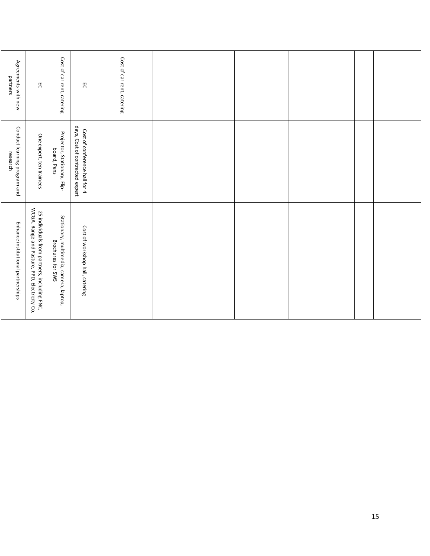| Agreements with new<br>partners          | 5                                                                                             | Cost of car rent, catering                                          | 5                                                                | Cost of car rent, catering |  |  |  |  |  |
|------------------------------------------|-----------------------------------------------------------------------------------------------|---------------------------------------------------------------------|------------------------------------------------------------------|----------------------------|--|--|--|--|--|
| Conduct learning program and<br>research | One expert, ten trainees                                                                      | Projector, Stationary, Flip-<br>board, Pens                         | days, Cost of contracted expert<br>Cost of conference hall for 4 |                            |  |  |  |  |  |
| Enhance institutional partnerships       | WCGA, Range and Pasture, PPD, Electricity Co,<br>25 individuals from partners, including FNC, | Stationary, multimedia, camera, laptop,<br><b>Brochures for SWS</b> | Cost of workshop hall, catering                                  |                            |  |  |  |  |  |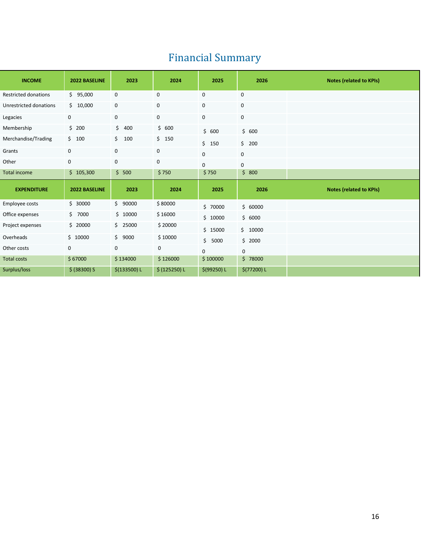# Financial Summary

| <b>INCOME</b>               | 2022 BASELINE | 2023         | 2024          | 2025        | 2026         | <b>Notes (related to KPIs)</b> |
|-----------------------------|---------------|--------------|---------------|-------------|--------------|--------------------------------|
| <b>Restricted donations</b> | \$95,000      | 0            | 0             | 0           | 0            |                                |
| Unrestricted donations      | \$10,000      | $\mathbf 0$  | 0             | 0           | 0            |                                |
| Legacies                    | 0             | $\mathbf 0$  | 0             | 0           | 0            |                                |
| Membership                  | \$200         | \$400        | \$600         | \$600       | \$600        |                                |
| Merchandise/Trading         | \$100         | \$100        | \$150         | \$150       | \$ 200       |                                |
| Grants                      | 0             | 0            | 0             | 0           | 0            |                                |
| Other                       | 0             | 0            | 0             | 0           | $\mathsf{O}$ |                                |
| <b>Total income</b>         | \$105,300     | \$500        | \$750         | \$750       | \$800        |                                |
| <b>EXPENDITURE</b>          | 2022 BASELINE | 2023         | 2024          | 2025        | 2026         | <b>Notes (related to KPIs)</b> |
| Employee costs              | \$30000       | \$90000      | \$80000       | \$70000     | \$60000      |                                |
| Office expenses             | \$7000        | \$10000      | \$16000       | \$10000     | \$6000       |                                |
| Project expenses            | \$20000       | \$ 25000     | \$20000       | \$15000     | \$10000      |                                |
| Overheads                   | \$10000       | \$9000       | \$10000       | \$5000      | \$2000       |                                |
| Other costs                 | 0             | 0            | 0             | $\mathbf 0$ | 0            |                                |
| <b>Total costs</b>          | \$67000       | \$134000     | \$126000      | \$100000    | \$78000      |                                |
| Surplus/loss                | $$$ (38300) S | \$(133500) L | \$ (125250) L | \$(99250) L | \$(77200) L  |                                |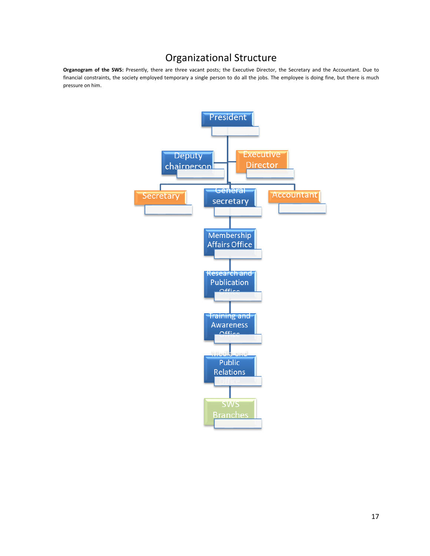## Organizational Structure

**Organogram of the SWS:** Presently, there are three vacant posts; the Executive Director, the Secretary and the Accountant. Due to financial constraints, the society employed temporary a single person to do all the jobs. The employee is doing fine, but there is much pressure on him.